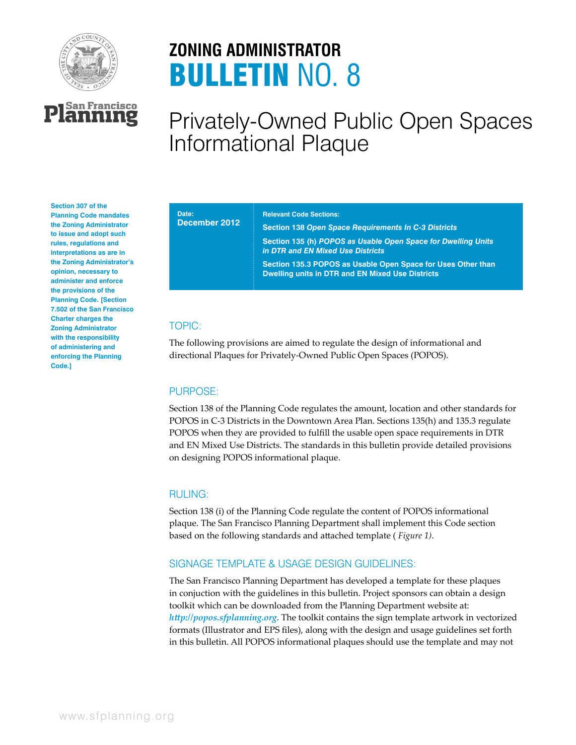

**L<sup>San Francisco**<br>**Lanning**</sup>

# **ZONING ADMINISTRATOR** BULLETIN NO. 8

## Privately-Owned Public Open Spaces Informational Plaque

#### **Section 307 of the Planning Code mandates the Zoning Administrator to issue and adopt such rules, regulations and interpretations as are in the Zoning Administrator's opinion, necessary to administer and enforce the provisions of the Planning Code. [Section 7.502 of the San Francisco Charter charges the Zoning Administrator with the responsibility of administering and enforcing the Planning Code.]**

#### **Date: December 2012**

#### **Relevant Code Sections:**

**Section 138** *Open Space Requirements In C-3 Districts* **Section 135 (h)** *POPOS as Usable Open Space for Dwelling Units in DTR and EN Mixed Use Districts* **Section 135.3 POPOS as Usable Open Space for Uses Other than Dwelling units in DTR and EN Mixed Use Districts** 

## TOPIC:

The following provisions are aimed to regulate the design of informational and directional Plaques for Privately-Owned Public Open Spaces (POPOS).

#### PURPOSE:

Section 138 of the Planning Code regulates the amount, location and other standards for POPOS in C-3 Districts in the Downtown Area Plan. Sections 135(h) and 135.3 regulate POPOS when they are provided to fulfill the usable open space requirements in DTR and EN Mixed Use Districts. The standards in this bulletin provide detailed provisions on designing POPOS informational plaque.

#### RULING:

Section 138 (i) of the Planning Code regulate the content of POPOS informational plaque. The San Francisco Planning Department shall implement this Code section based on the following standards and attached template ( *Figure 1)*.

## SIGNAGE TEMPLATE & USAGE DESIGN GUIDELINES:

The San Francisco Planning Department has developed a template for these plaques in conjuction with the guidelines in this bulletin. Project sponsors can obtain a design toolkit which can be downloaded from the Planning Department website at: *http://popos.sfplanning.org*. The toolkit contains the sign template artwork in vectorized formats (Illustrator and EPS files), along with the design and usage guidelines set forth in this bulletin. All POPOS informational plaques should use the template and may not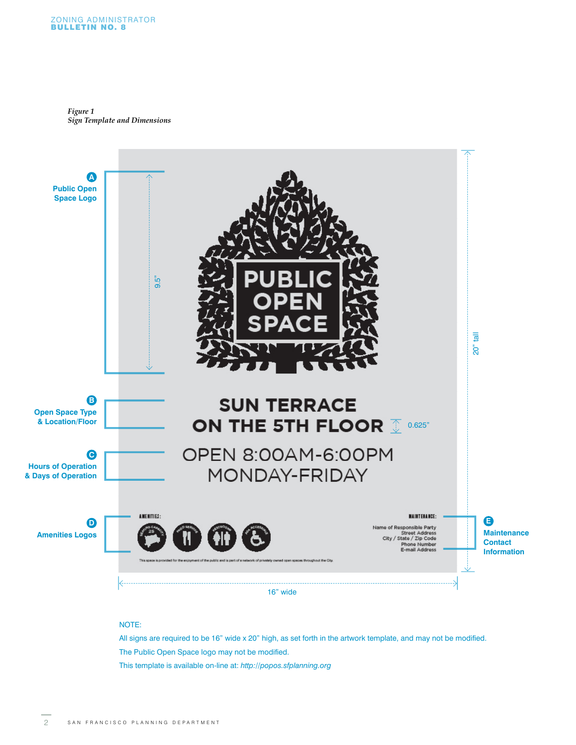*Figure 1 Sign Template and Dimensions*



#### NOTE:

All signs are required to be 16" wide x 20" high, as set forth in the artwork template, and may not be modified. The Public Open Space logo may not be modified. This template is available on-line at: *http://popos.sfplanning.org*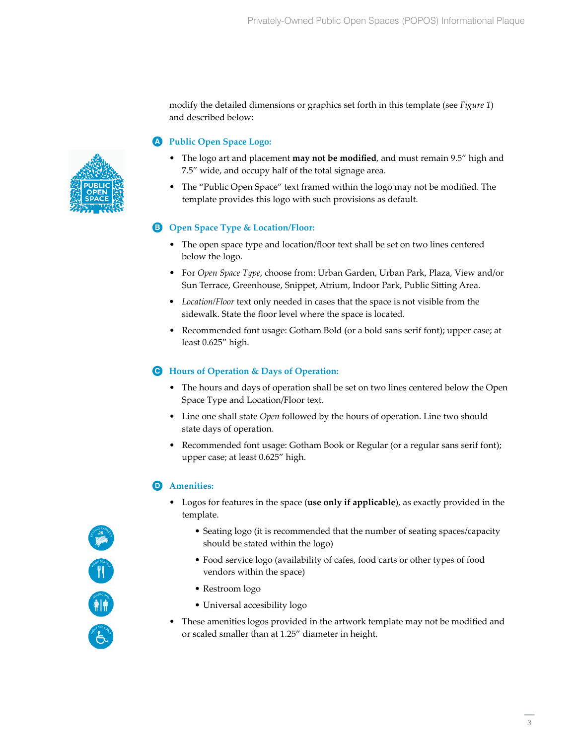modify the detailed dimensions or graphics set forth in this template (see *Figure 1*) and described below:

## **Public Open Space Logo: A**

- The logo art and placement **may not be modified**, and must remain 9.5" high and 7.5" wide, and occupy half of the total signage area.
- The "Public Open Space" text framed within the logo may not be modified. The template provides this logo with such provisions as default.

## **Open Space Type & Location/Floor: B**

- The open space type and location/floor text shall be set on two lines centered below the logo.
- For *Open Space Type*, choose from: Urban Garden, Urban Park, Plaza, View and/or Sun Terrace, Greenhouse, Snippet, Atrium, Indoor Park, Public Sitting Area.
- *Location/Floor text only needed in cases that the space is not visible from the* sidewalk. State the floor level where the space is located.
- Recommended font usage: Gotham Bold (or a bold sans serif font); upper case; at least 0.625" high.

### **Hours of Operation & Days of Operation: C**

- The hours and days of operation shall be set on two lines centered below the Open Space Type and Location/Floor text.
- Line one shall state *Open* followed by the hours of operation. Line two should state days of operation.
- Recommended font usage: Gotham Book or Regular (or a regular sans serif font); upper case; at least 0.625" high.

## **D** Amenities:

- Logos for features in the space (**use only if applicable**), as exactly provided in the template.
	- Seating logo (it is recommended that the number of seating spaces/capacity should be stated within the logo)
	- Food service logo (availability of cafes, food carts or other types of food vendors within the space)
	- Restroom logo
	- Universal accesibility logo
- These amenities logos provided in the artwork template may not be modified and or scaled smaller than at 1.25" diameter in height.



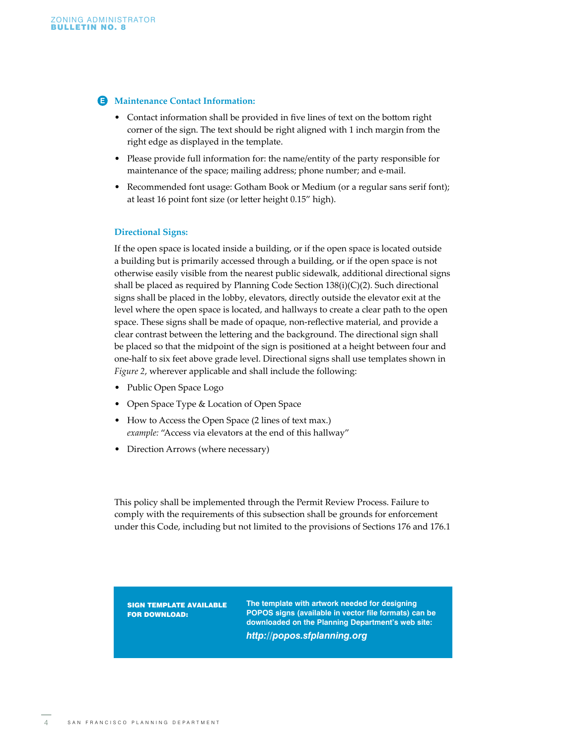#### **Maintenance Contact Information: E**

- Contact information shall be provided in five lines of text on the bottom right corner of the sign. The text should be right aligned with 1 inch margin from the right edge as displayed in the template.
- Please provide full information for: the name/entity of the party responsible for maintenance of the space; mailing address; phone number; and e-mail.
- Recommended font usage: Gotham Book or Medium (or a regular sans serif font); at least 16 point font size (or letter height 0.15" high).

#### **Directional Signs:**

If the open space is located inside a building, or if the open space is located outside a building but is primarily accessed through a building, or if the open space is not otherwise easily visible from the nearest public sidewalk, additional directional signs shall be placed as required by Planning Code Section 138(i)(C)(2). Such directional signs shall be placed in the lobby, elevators, directly outside the elevator exit at the level where the open space is located, and hallways to create a clear path to the open space. These signs shall be made of opaque, non-reflective material, and provide a clear contrast between the lettering and the background. The directional sign shall be placed so that the midpoint of the sign is positioned at a height between four and one-half to six feet above grade level. Directional signs shall use templates shown in *Figure 2*, wherever applicable and shall include the following:

- Public Open Space Logo
- Open Space Type & Location of Open Space
- How to Access the Open Space (2 lines of text max.) *example:* "Access via elevators at the end of this hallway"
- Direction Arrows (where necessary)

This policy shall be implemented through the Permit Review Process. Failure to comply with the requirements of this subsection shall be grounds for enforcement under this Code, including but not limited to the provisions of Sections 176 and 176.1

SIGN TEMPLATE AVAILABLE FOR DOWNLOAD:

**The template with artwork needed for designing POPOS signs (available in vector file formats) can be downloaded on the Planning Department's web site:**  *http://popos.sfplanning.org*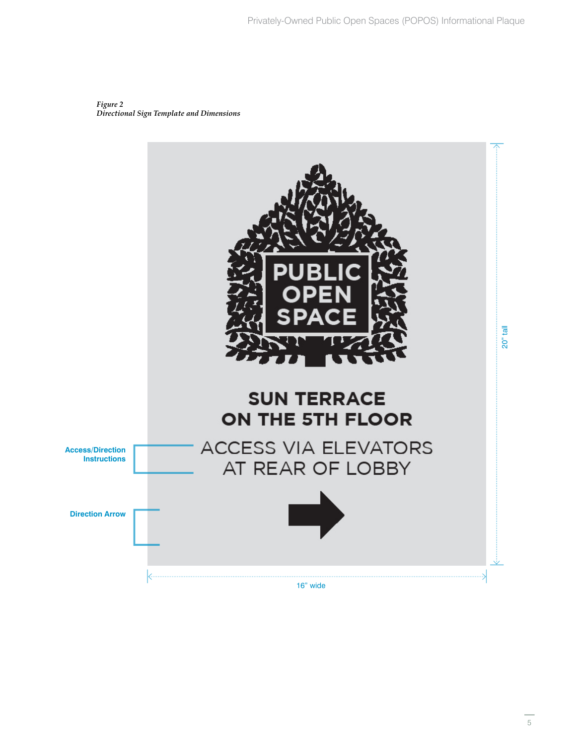*Figure 2 Directional Sign Template and Dimensions*